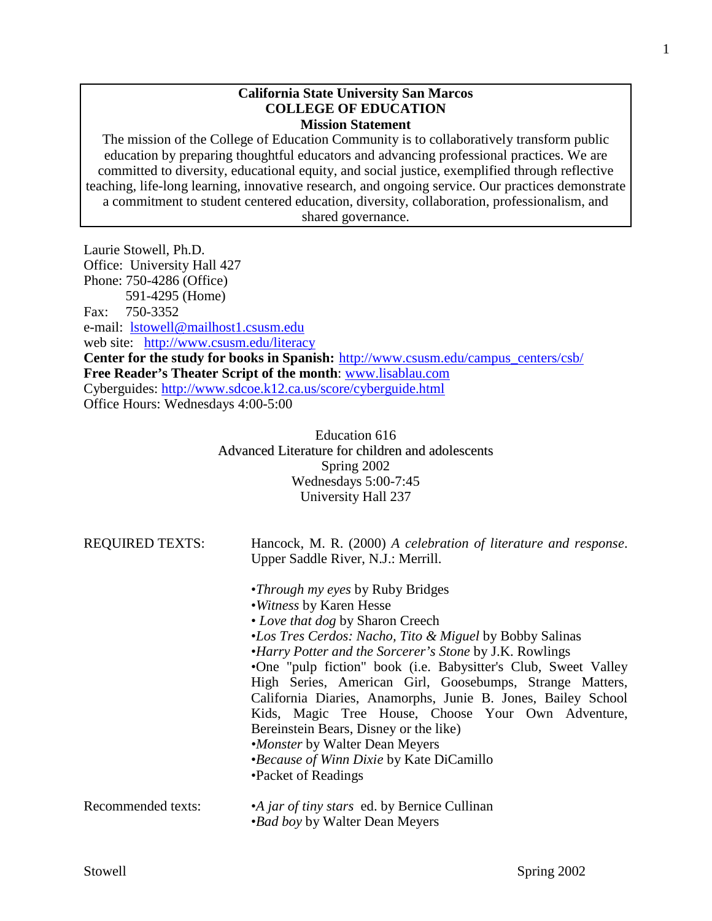#### **California State University San Marcos COLLEGE OF EDUCATION Mission Statement**

The mission of the College of Education Community is to collaboratively transform public education by preparing thoughtful educators and advancing professional practices. We are committed to diversity, educational equity, and social justice, exemplified through reflective teaching, life-long learning, innovative research, and ongoing service. Our practices demonstrate a commitment to student centered education, diversity, collaboration, professionalism, and shared governance.

Laurie Stowell, Ph.D. Office: University Hall 427 Phone: 750-4286 (Office) 591-4295 (Home) Fax: 750-3352 e-mail: [lstowell@mailhost1.csusm.edu](mailto:lstowell@mailhost1.csusm.edu) web site: <http://www.csusm.edu/literacy> **Center for the study for books in Spanish:** [http://www.csusm.edu/campus\\_centers/csb/](http://www.csusm.edu/campus_centers/csb/) **Free Reader's Theater Script of the month**: [www.lisablau.com](http://www.lisablau.com/) Cyberguides:<http://www.sdcoe.k12.ca.us/score/cyberguide.html> Office Hours: Wednesdays 4:00-5:00

> Education 616 Advanced Literature for children and adolescents Spring 2002 Wednesdays 5:00-7:45 University Hall 237

| <b>REQUIRED TEXTS:</b> | Hancock, M. R. (2000) A celebration of literature and response.<br>Upper Saddle River, N.J.: Merrill.                                                                                                                                                                                                                                                                                                                                                                                                                                                                                                                             |  |
|------------------------|-----------------------------------------------------------------------------------------------------------------------------------------------------------------------------------------------------------------------------------------------------------------------------------------------------------------------------------------------------------------------------------------------------------------------------------------------------------------------------------------------------------------------------------------------------------------------------------------------------------------------------------|--|
|                        | • <i>Through my eyes</i> by Ruby Bridges<br>• Witness by Karen Hesse<br>• Love that dog by Sharon Creech<br>•Los Tres Cerdos: Nacho, Tito & Miguel by Bobby Salinas<br>•Harry Potter and the Sorcerer's Stone by J.K. Rowlings<br>•One "pulp fiction" book (i.e. Babysitter's Club, Sweet Valley<br>High Series, American Girl, Goosebumps, Strange Matters,<br>California Diaries, Anamorphs, Junie B. Jones, Bailey School<br>Kids, Magic Tree House, Choose Your Own Adventure,<br>Bereinstein Bears, Disney or the like)<br>•Monster by Walter Dean Meyers<br>•Because of Winn Dixie by Kate DiCamillo<br>•Packet of Readings |  |
| Recommended texts:     | •A jar of tiny stars ed. by Bernice Cullinan<br><i>•Bad boy</i> by Walter Dean Meyers                                                                                                                                                                                                                                                                                                                                                                                                                                                                                                                                             |  |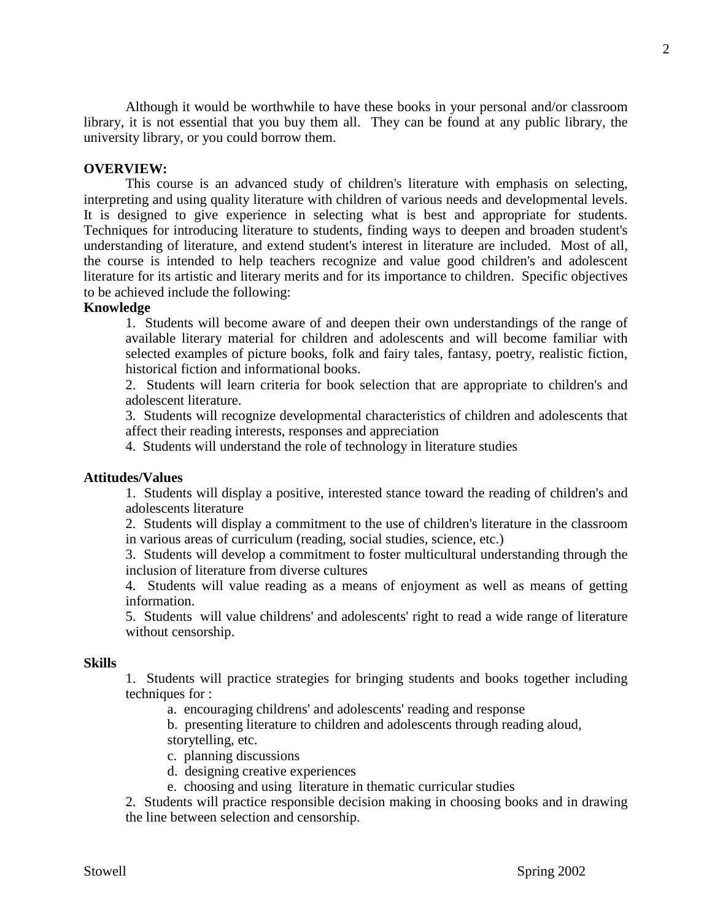Although it would be worthwhile to have these books in your personal and/or classroom library, it is not essential that you buy them all. They can be found at any public library, the university library, or you could borrow them.

#### **OVERVIEW:**

This course is an advanced study of children's literature with emphasis on selecting, interpreting and using quality literature with children of various needs and developmental levels. It is designed to give experience in selecting what is best and appropriate for students. Techniques for introducing literature to students, finding ways to deepen and broaden student's understanding of literature, and extend student's interest in literature are included. Most of all, the course is intended to help teachers recognize and value good children's and adolescent literature for its artistic and literary merits and for its importance to children. Specific objectives to be achieved include the following:

# **Knowledge**

1. Students will become aware of and deepen their own understandings of the range of available literary material for children and adolescents and will become familiar with selected examples of picture books, folk and fairy tales, fantasy, poetry, realistic fiction, historical fiction and informational books.

2. Students will learn criteria for book selection that are appropriate to children's and adolescent literature.

3. Students will recognize developmental characteristics of children and adolescents that affect their reading interests, responses and appreciation

4. Students will understand the role of technology in literature studies

#### **Attitudes/Values**

1. Students will display a positive, interested stance toward the reading of children's and adolescents literature

2. Students will display a commitment to the use of children's literature in the classroom in various areas of curriculum (reading, social studies, science, etc.)

3. Students will develop a commitment to foster multicultural understanding through the inclusion of literature from diverse cultures

4. Students will value reading as a means of enjoyment as well as means of getting information.

5. Students will value childrens' and adolescents' right to read a wide range of literature without censorship.

#### **Skills**

1. Students will practice strategies for bringing students and books together including techniques for :

a. encouraging childrens' and adolescents' reading and response

b. presenting literature to children and adolescents through reading aloud, storytelling, etc.

c. planning discussions

d. designing creative experiences

e. choosing and using literature in thematic curricular studies

2. Students will practice responsible decision making in choosing books and in drawing the line between selection and censorship.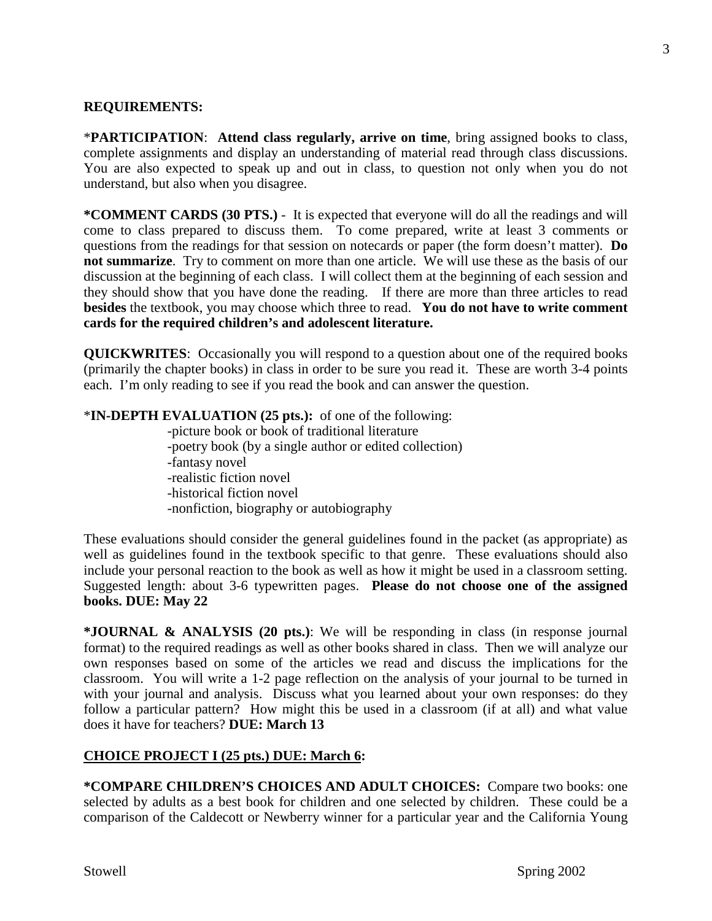#### **REQUIREMENTS:**

\***PARTICIPATION**: **Attend class regularly, arrive on time**, bring assigned books to class, complete assignments and display an understanding of material read through class discussions. You are also expected to speak up and out in class, to question not only when you do not understand, but also when you disagree.

**\*COMMENT CARDS (30 PTS.)** - It is expected that everyone will do all the readings and will come to class prepared to discuss them. To come prepared, write at least 3 comments or questions from the readings for that session on notecards or paper (the form doesn't matter). **Do not summarize**. Try to comment on more than one article. We will use these as the basis of our discussion at the beginning of each class. I will collect them at the beginning of each session and they should show that you have done the reading. If there are more than three articles to read **besides** the textbook, you may choose which three to read. **You do not have to write comment cards for the required children's and adolescent literature.**

**QUICKWRITES**: Occasionally you will respond to a question about one of the required books (primarily the chapter books) in class in order to be sure you read it. These are worth 3-4 points each. I'm only reading to see if you read the book and can answer the question.

# \***IN-DEPTH EVALUATION (25 pts.):** of one of the following:

-picture book or book of traditional literature -poetry book (by a single author or edited collection) -fantasy novel -realistic fiction novel -historical fiction novel -nonfiction, biography or autobiography

These evaluations should consider the general guidelines found in the packet (as appropriate) as well as guidelines found in the textbook specific to that genre. These evaluations should also include your personal reaction to the book as well as how it might be used in a classroom setting. Suggested length: about 3-6 typewritten pages. **Please do not choose one of the assigned books. DUE: May 22**

**\*JOURNAL & ANALYSIS (20 pts.)**: We will be responding in class (in response journal format) to the required readings as well as other books shared in class. Then we will analyze our own responses based on some of the articles we read and discuss the implications for the classroom. You will write a 1-2 page reflection on the analysis of your journal to be turned in with your journal and analysis. Discuss what you learned about your own responses: do they follow a particular pattern? How might this be used in a classroom (if at all) and what value does it have for teachers? **DUE: March 13**

# **CHOICE PROJECT I (25 pts.) DUE: March 6:**

**\*COMPARE CHILDREN'S CHOICES AND ADULT CHOICES:** Compare two books: one selected by adults as a best book for children and one selected by children. These could be a comparison of the Caldecott or Newberry winner for a particular year and the California Young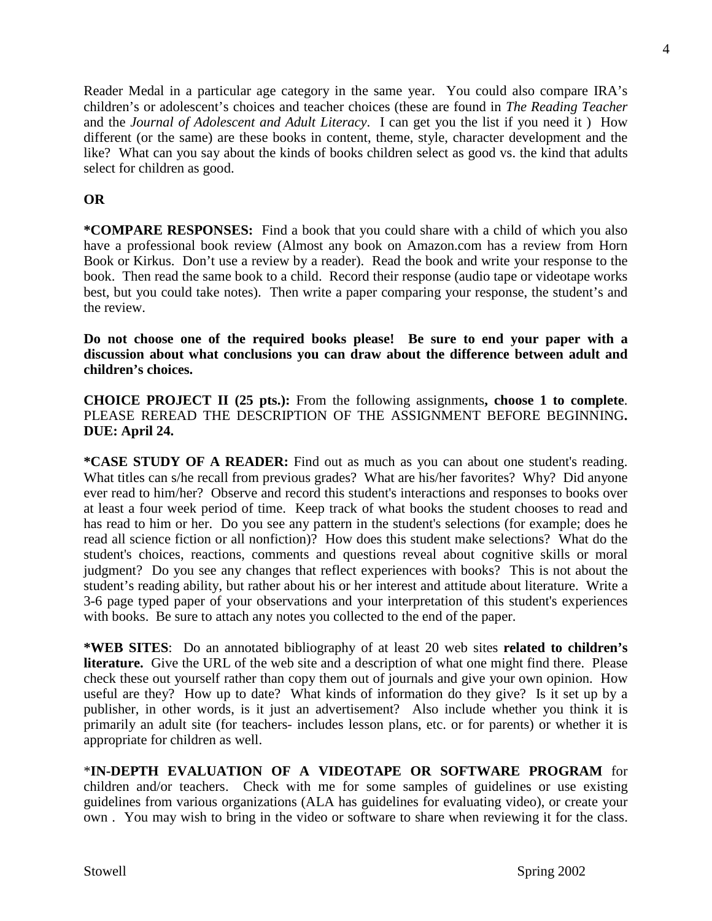**\*COMPARE RESPONSES:** Find a book that you could share with a child of which you also

have a professional book review (Almost any book on Amazon.com has a review from Horn Book or Kirkus. Don't use a review by a reader).Read the book and write your response to the book. Then read the same book to a child. Record their response (audio tape or videotape works best, but you could take notes). Then write a paper comparing your response, the student's and the review.

Reader Medal in a particular age category in the same year. You could also compare IRA's children's or adolescent's choices and teacher choices (these are found in *The Reading Teacher* and the *Journal of Adolescent and Adult Literacy*. I can get you the list if you need it ) How different (or the same) are these books in content, theme, style, character development and the like? What can you say about the kinds of books children select as good vs. the kind that adults

**Do not choose one of the required books please! Be sure to end your paper with a discussion about what conclusions you can draw about the difference between adult and children's choices.**

**CHOICE PROJECT II (25 pts.):** From the following assignments**, choose 1 to complete**. PLEASE REREAD THE DESCRIPTION OF THE ASSIGNMENT BEFORE BEGINNING**. DUE: April 24.**

**\*CASE STUDY OF A READER:** Find out as much as you can about one student's reading. What titles can s/he recall from previous grades? What are his/her favorites? Why? Did anyone ever read to him/her? Observe and record this student's interactions and responses to books over at least a four week period of time. Keep track of what books the student chooses to read and has read to him or her. Do you see any pattern in the student's selections (for example; does he read all science fiction or all nonfiction)? How does this student make selections? What do the student's choices, reactions, comments and questions reveal about cognitive skills or moral judgment? Do you see any changes that reflect experiences with books? This is not about the student's reading ability, but rather about his or her interest and attitude about literature. Write a 3-6 page typed paper of your observations and your interpretation of this student's experiences with books. Be sure to attach any notes you collected to the end of the paper.

**\*WEB SITES**: Do an annotated bibliography of at least 20 web sites **related to children's literature.** Give the URL of the web site and a description of what one might find there. Please check these out yourself rather than copy them out of journals and give your own opinion. How useful are they? How up to date? What kinds of information do they give? Is it set up by a publisher, in other words, is it just an advertisement? Also include whether you think it is primarily an adult site (for teachers- includes lesson plans, etc. or for parents) or whether it is appropriate for children as well.

\***IN-DEPTH EVALUATION OF A VIDEOTAPE OR SOFTWARE PROGRAM** for children and/or teachers. Check with me for some samples of guidelines or use existing guidelines from various organizations (ALA has guidelines for evaluating video), or create your own . You may wish to bring in the video or software to share when reviewing it for the class.

select for children as good.

**OR**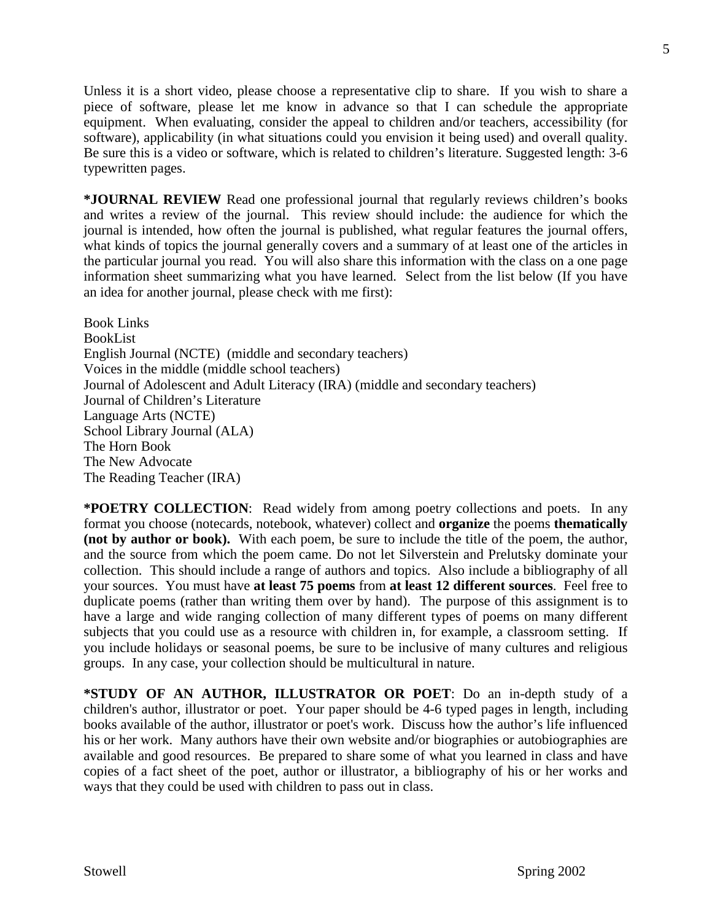Unless it is a short video, please choose a representative clip to share. If you wish to share a piece of software, please let me know in advance so that I can schedule the appropriate equipment. When evaluating, consider the appeal to children and/or teachers, accessibility (for software), applicability (in what situations could you envision it being used) and overall quality. Be sure this is a video or software, which is related to children's literature. Suggested length: 3-6 typewritten pages.

**\*JOURNAL REVIEW** Read one professional journal that regularly reviews children's books and writes a review of the journal. This review should include: the audience for which the journal is intended, how often the journal is published, what regular features the journal offers, what kinds of topics the journal generally covers and a summary of at least one of the articles in the particular journal you read. You will also share this information with the class on a one page information sheet summarizing what you have learned. Select from the list below (If you have an idea for another journal, please check with me first):

Book Links BookList English Journal (NCTE) (middle and secondary teachers) Voices in the middle (middle school teachers) Journal of Adolescent and Adult Literacy (IRA) (middle and secondary teachers) Journal of Children's Literature Language Arts (NCTE) School Library Journal (ALA) The Horn Book The New Advocate The Reading Teacher (IRA)

**\*POETRY COLLECTION**: Read widely from among poetry collections and poets. In any format you choose (notecards, notebook, whatever) collect and **organize** the poems **thematically (not by author or book).** With each poem, be sure to include the title of the poem, the author, and the source from which the poem came. Do not let Silverstein and Prelutsky dominate your collection. This should include a range of authors and topics. Also include a bibliography of all your sources. You must have **at least 75 poems** from **at least 12 different sources**. Feel free to duplicate poems (rather than writing them over by hand). The purpose of this assignment is to have a large and wide ranging collection of many different types of poems on many different subjects that you could use as a resource with children in, for example, a classroom setting. If you include holidays or seasonal poems, be sure to be inclusive of many cultures and religious groups. In any case, your collection should be multicultural in nature.

**\*STUDY OF AN AUTHOR, ILLUSTRATOR OR POET**: Do an in-depth study of a children's author, illustrator or poet. Your paper should be 4-6 typed pages in length, including books available of the author, illustrator or poet's work. Discuss how the author's life influenced his or her work. Many authors have their own website and/or biographies or autobiographies are available and good resources. Be prepared to share some of what you learned in class and have copies of a fact sheet of the poet, author or illustrator, a bibliography of his or her works and ways that they could be used with children to pass out in class.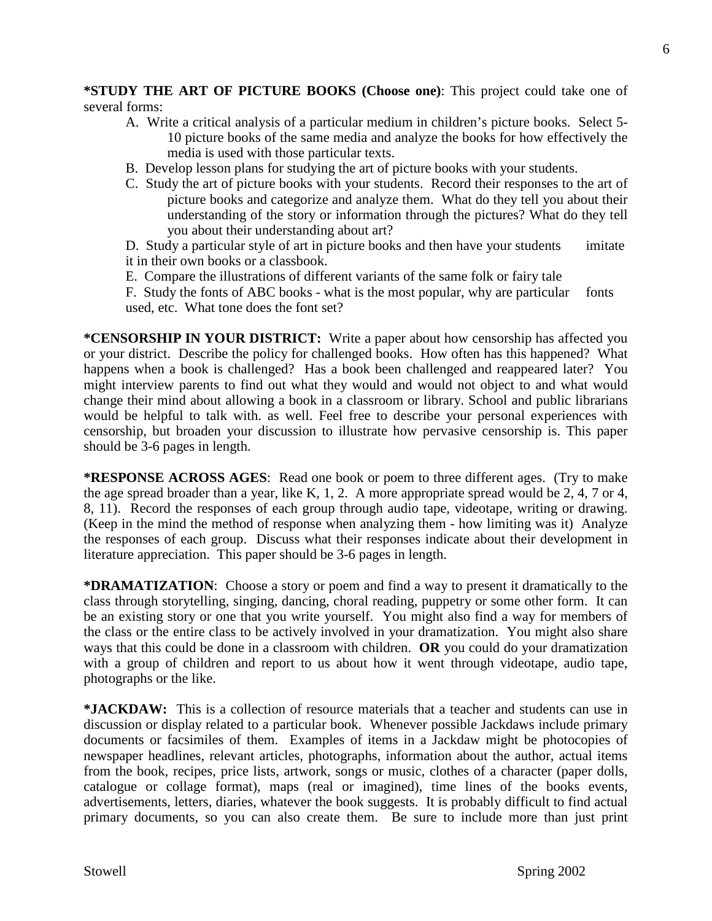**\*STUDY THE ART OF PICTURE BOOKS (Choose one)**: This project could take one of several forms:

- A. Write a critical analysis of a particular medium in children's picture books. Select 5- 10 picture books of the same media and analyze the books for how effectively the media is used with those particular texts.
- B. Develop lesson plans for studying the art of picture books with your students.
- C. Study the art of picture books with your students. Record their responses to the art of picture books and categorize and analyze them. What do they tell you about their understanding of the story or information through the pictures? What do they tell you about their understanding about art?

D. Study a particular style of art in picture books and then have your students imitate it in their own books or a classbook.

E. Compare the illustrations of different variants of the same folk or fairy tale

F. Study the fonts of ABC books - what is the most popular, why are particular fonts used, etc. What tone does the font set?

**\*CENSORSHIP IN YOUR DISTRICT:** Write a paper about how censorship has affected you or your district. Describe the policy for challenged books. How often has this happened? What happens when a book is challenged? Has a book been challenged and reappeared later? You might interview parents to find out what they would and would not object to and what would change their mind about allowing a book in a classroom or library. School and public librarians would be helpful to talk with. as well. Feel free to describe your personal experiences with censorship, but broaden your discussion to illustrate how pervasive censorship is. This paper should be 3-6 pages in length.

**\*RESPONSE ACROSS AGES**: Read one book or poem to three different ages. (Try to make the age spread broader than a year, like K, 1, 2. A more appropriate spread would be 2, 4, 7 or 4, 8, 11). Record the responses of each group through audio tape, videotape, writing or drawing. (Keep in the mind the method of response when analyzing them - how limiting was it) Analyze the responses of each group. Discuss what their responses indicate about their development in literature appreciation. This paper should be 3-6 pages in length.

**\*DRAMATIZATION**: Choose a story or poem and find a way to present it dramatically to the class through storytelling, singing, dancing, choral reading, puppetry or some other form. It can be an existing story or one that you write yourself. You might also find a way for members of the class or the entire class to be actively involved in your dramatization. You might also share ways that this could be done in a classroom with children. **OR** you could do your dramatization with a group of children and report to us about how it went through videotape, audio tape, photographs or the like.

**\*JACKDAW:** This is a collection of resource materials that a teacher and students can use in discussion or display related to a particular book. Whenever possible Jackdaws include primary documents or facsimiles of them. Examples of items in a Jackdaw might be photocopies of newspaper headlines, relevant articles, photographs, information about the author, actual items from the book, recipes, price lists, artwork, songs or music, clothes of a character (paper dolls, catalogue or collage format), maps (real or imagined), time lines of the books events, advertisements, letters, diaries, whatever the book suggests. It is probably difficult to find actual primary documents, so you can also create them. Be sure to include more than just print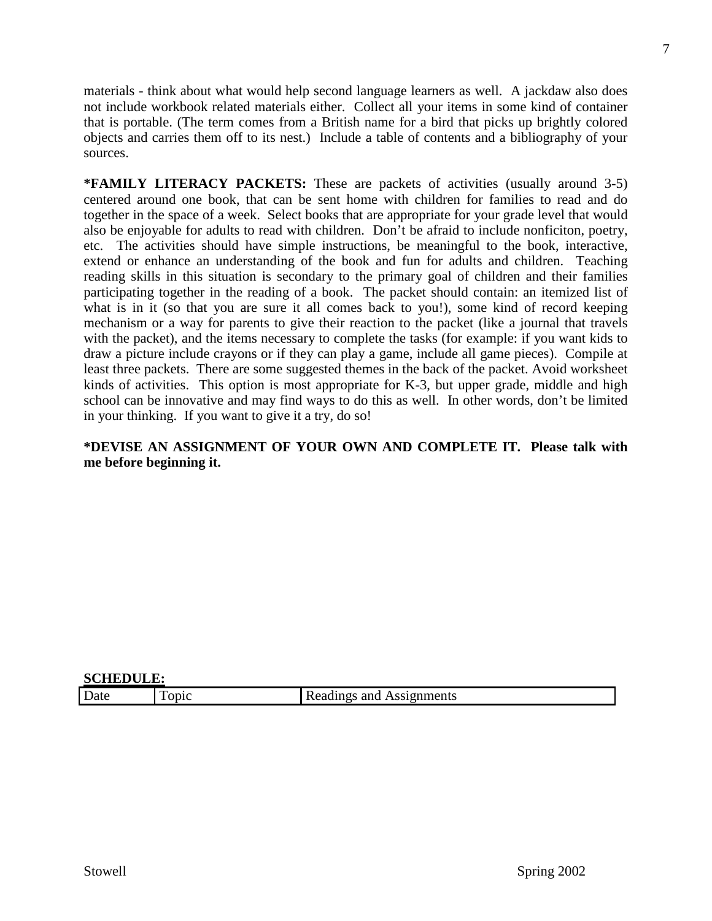materials - think about what would help second language learners as well. A jackdaw also does not include workbook related materials either. Collect all your items in some kind of container that is portable. (The term comes from a British name for a bird that picks up brightly colored objects and carries them off to its nest.) Include a table of contents and a bibliography of your sources.

**\*FAMILY LITERACY PACKETS:** These are packets of activities (usually around 3-5) centered around one book, that can be sent home with children for families to read and do together in the space of a week. Select books that are appropriate for your grade level that would also be enjoyable for adults to read with children. Don't be afraid to include nonficiton, poetry, etc. The activities should have simple instructions, be meaningful to the book, interactive, extend or enhance an understanding of the book and fun for adults and children. Teaching reading skills in this situation is secondary to the primary goal of children and their families participating together in the reading of a book. The packet should contain: an itemized list of what is in it (so that you are sure it all comes back to you!), some kind of record keeping mechanism or a way for parents to give their reaction to the packet (like a journal that travels with the packet), and the items necessary to complete the tasks (for example: if you want kids to draw a picture include crayons or if they can play a game, include all game pieces). Compile at least three packets. There are some suggested themes in the back of the packet. Avoid worksheet kinds of activities. This option is most appropriate for K-3, but upper grade, middle and high school can be innovative and may find ways to do this as well. In other words, don't be limited in your thinking. If you want to give it a try, do so!

# **\*DEVISE AN ASSIGNMENT OF YOUR OWN AND COMPLETE IT. Please talk with me before beginning it.**

| SCHEDULE: |             |                          |  |
|-----------|-------------|--------------------------|--|
| Date      | <b>ODIC</b> | Readings and Assignments |  |

**SCHEDULE:**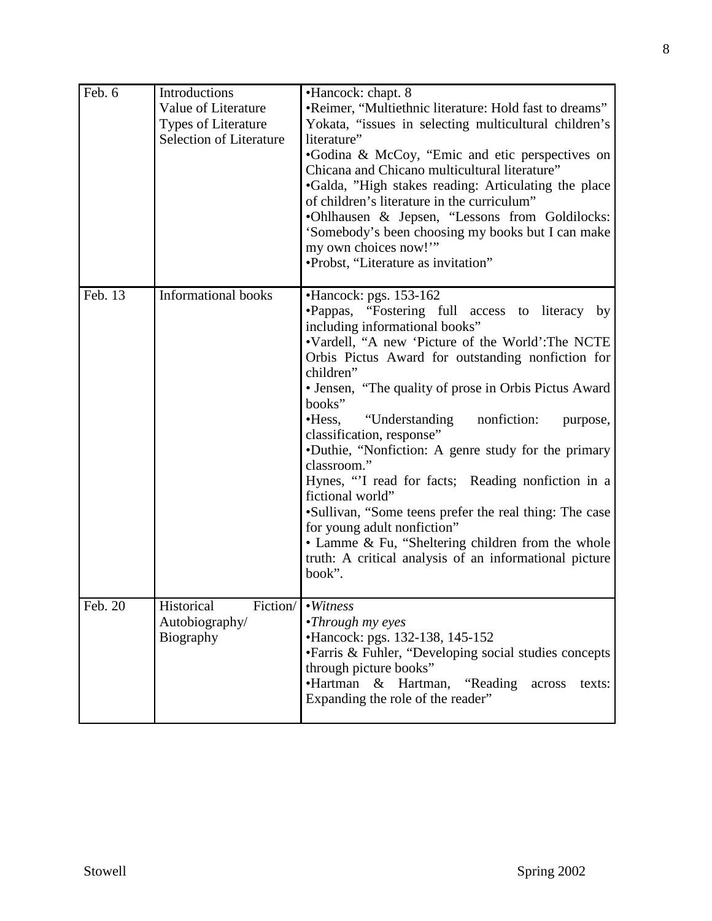| Feb. 6  | Introductions<br>Value of Literature<br><b>Types of Literature</b><br><b>Selection of Literature</b> | •Hancock: chapt. 8<br>•Reimer, "Multiethnic literature: Hold fast to dreams"<br>Yokata, "issues in selecting multicultural children's<br>literature"<br>•Godina & McCoy, "Emic and etic perspectives on<br>Chicana and Chicano multicultural literature"<br>•Galda, "High stakes reading: Articulating the place<br>of children's literature in the curriculum"<br>•Ohlhausen & Jepsen, "Lessons from Goldilocks:<br>'Somebody's been choosing my books but I can make<br>my own choices now!"<br>•Probst, "Literature as invitation"                                                                                                                                                                                                                           |
|---------|------------------------------------------------------------------------------------------------------|-----------------------------------------------------------------------------------------------------------------------------------------------------------------------------------------------------------------------------------------------------------------------------------------------------------------------------------------------------------------------------------------------------------------------------------------------------------------------------------------------------------------------------------------------------------------------------------------------------------------------------------------------------------------------------------------------------------------------------------------------------------------|
| Feb. 13 | <b>Informational books</b>                                                                           | $\bullet$ Hancock: pgs. 153-162<br>•Pappas, "Fostering full access to literacy by<br>including informational books"<br>•Vardell, "A new 'Picture of the World': The NCTE<br>Orbis Pictus Award for outstanding nonfiction for<br>children"<br>• Jensen, "The quality of prose in Orbis Pictus Award<br>books"<br>•Hess, "Understanding<br>nonfiction:<br>purpose,<br>classification, response"<br>•Duthie, "Nonfiction: A genre study for the primary<br>classroom."<br>Hynes, "I read for facts; Reading nonfiction in a<br>fictional world"<br>•Sullivan, "Some teens prefer the real thing: The case<br>for young adult nonfiction"<br>• Lamme & Fu, "Sheltering children from the whole<br>truth: A critical analysis of an informational picture<br>book". |
| Feb. 20 | Historical<br>Fiction/<br>Autobiography/<br>Biography                                                | $\overline{\bullet}\overline{W}$ itness<br>•Through my eyes<br>•Hancock: pgs. 132-138, 145-152<br>• Farris & Fuhler, "Developing social studies concepts<br>through picture books"<br>•Hartman<br>& Hartman,<br>"Reading"<br>texts:<br>across<br>Expanding the role of the reader"                                                                                                                                                                                                                                                                                                                                                                                                                                                                              |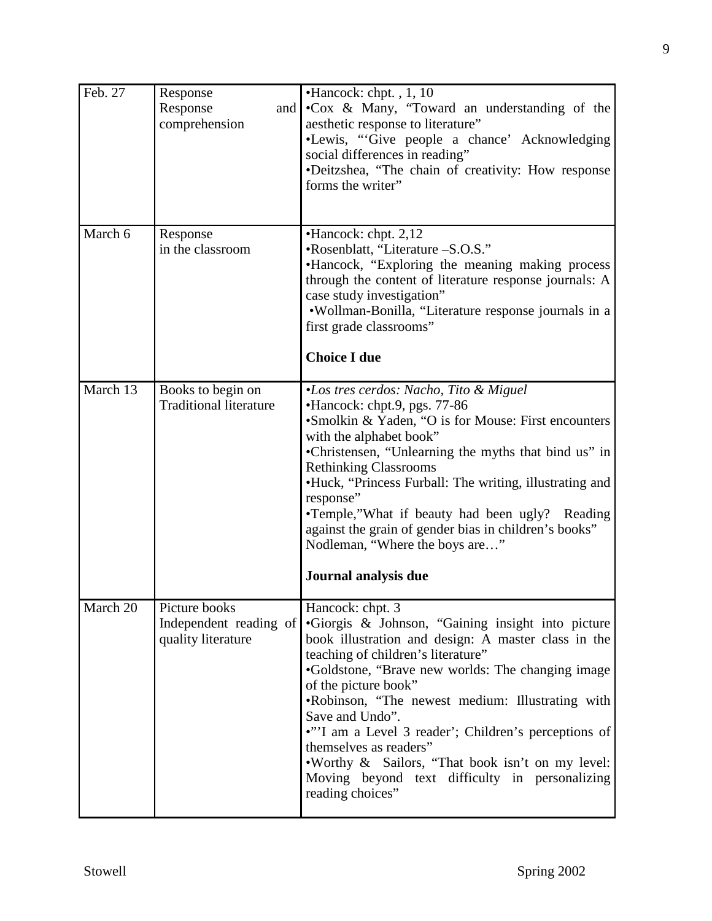| Feb. 27  | Response<br>Response<br>and  <br>comprehension                | $\bullet$ Hancock: chpt., 1, 10<br>.Cox & Many, "Toward an understanding of the<br>aesthetic response to literature"<br>•Lewis, "Give people a chance' Acknowledging<br>social differences in reading"<br>·Deitzshea, "The chain of creativity: How response<br>forms the writer"                                                                                                                                                                                                                                                  |
|----------|---------------------------------------------------------------|------------------------------------------------------------------------------------------------------------------------------------------------------------------------------------------------------------------------------------------------------------------------------------------------------------------------------------------------------------------------------------------------------------------------------------------------------------------------------------------------------------------------------------|
| March 6  | Response<br>in the classroom                                  | •Hancock: chpt. 2,12<br>•Rosenblatt, "Literature -S.O.S."<br>•Hancock, "Exploring the meaning making process<br>through the content of literature response journals: A<br>case study investigation"<br>·Wollman-Bonilla, "Literature response journals in a<br>first grade classrooms"<br><b>Choice I due</b>                                                                                                                                                                                                                      |
| March 13 | Books to begin on<br><b>Traditional literature</b>            | <i>•Los tres cerdos: Nacho, Tito &amp; Miguel</i><br>•Hancock: chpt.9, pgs. 77-86<br>•Smolkin & Yaden, "O is for Mouse: First encounters<br>with the alphabet book"<br>•Christensen, "Unlearning the myths that bind us" in<br><b>Rethinking Classrooms</b><br>•Huck, "Princess Furball: The writing, illustrating and<br>response"<br>•Temple,"What if beauty had been ugly? Reading<br>against the grain of gender bias in children's books"<br>Nodleman, "Where the boys are"<br>Journal analysis due                           |
| March 20 | Picture books<br>Independent reading of<br>quality literature | Hancock: chpt. 3<br>•Giorgis & Johnson, "Gaining insight into picture<br>book illustration and design: A master class in the<br>teaching of children's literature"<br>•Goldstone, "Brave new worlds: The changing image<br>of the picture book"<br>.Robinson, "The newest medium: Illustrating with<br>Save and Undo".<br>•"'I am a Level 3 reader'; Children's perceptions of<br>themselves as readers"<br>.Worthy & Sailors, "That book isn't on my level:<br>Moving beyond text difficulty in personalizing<br>reading choices" |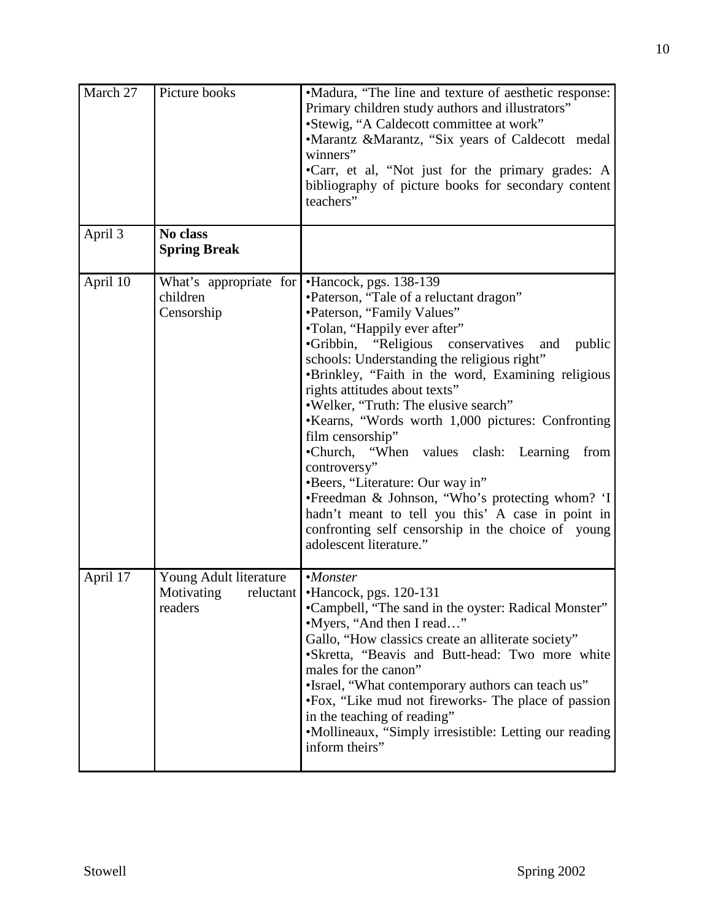| March 27   | Picture books                                                | •Madura, "The line and texture of aesthetic response:<br>Primary children study authors and illustrators"<br>•Stewig, "A Caldecott committee at work"<br>•Marantz &Marantz, "Six years of Caldecott medal<br>winners"<br>•Carr, et al, "Not just for the primary grades: A<br>bibliography of picture books for secondary content<br>teachers"                                                                                                                                                                                                                                                                                                                                                                                         |
|------------|--------------------------------------------------------------|----------------------------------------------------------------------------------------------------------------------------------------------------------------------------------------------------------------------------------------------------------------------------------------------------------------------------------------------------------------------------------------------------------------------------------------------------------------------------------------------------------------------------------------------------------------------------------------------------------------------------------------------------------------------------------------------------------------------------------------|
| April 3    | No class<br><b>Spring Break</b>                              |                                                                                                                                                                                                                                                                                                                                                                                                                                                                                                                                                                                                                                                                                                                                        |
| April 10   | What's appropriate for<br>children<br>Censorship             | •Hancock, pgs. 138-139<br>•Paterson, "Tale of a reluctant dragon"<br>•Paterson, "Family Values"<br>•Tolan, "Happily ever after"<br>•Gribbin, "Religious conservatives and public<br>schools: Understanding the religious right"<br>•Brinkley, "Faith in the word, Examining religious<br>rights attitudes about texts"<br>.Welker, "Truth: The elusive search"<br>•Kearns, "Words worth 1,000 pictures: Confronting<br>film censorship"<br>•Church, "When values clash: Learning<br>from<br>controversy"<br>•Beers, "Literature: Our way in"<br>•Freedman & Johnson, "Who's protecting whom? 'I <br>hadn't meant to tell you this' A case in point in<br>confronting self censorship in the choice of young<br>adolescent literature." |
| April $17$ | Young Adult literature<br>Motivating<br>reluctant<br>readers | $•$ <i>Monster</i><br>•Hancock, pgs. 120-131<br>•Campbell, "The sand in the oyster: Radical Monster"<br>•Myers, "And then I read"<br>Gallo, "How classics create an alliterate society"<br>•Skretta, "Beavis and Butt-head: Two more white<br>males for the canon"<br>•Israel, "What contemporary authors can teach us"<br>•Fox, "Like mud not fireworks- The place of passion<br>in the teaching of reading"<br>•Mollineaux, "Simply irresistible: Letting our reading<br>inform theirs"                                                                                                                                                                                                                                              |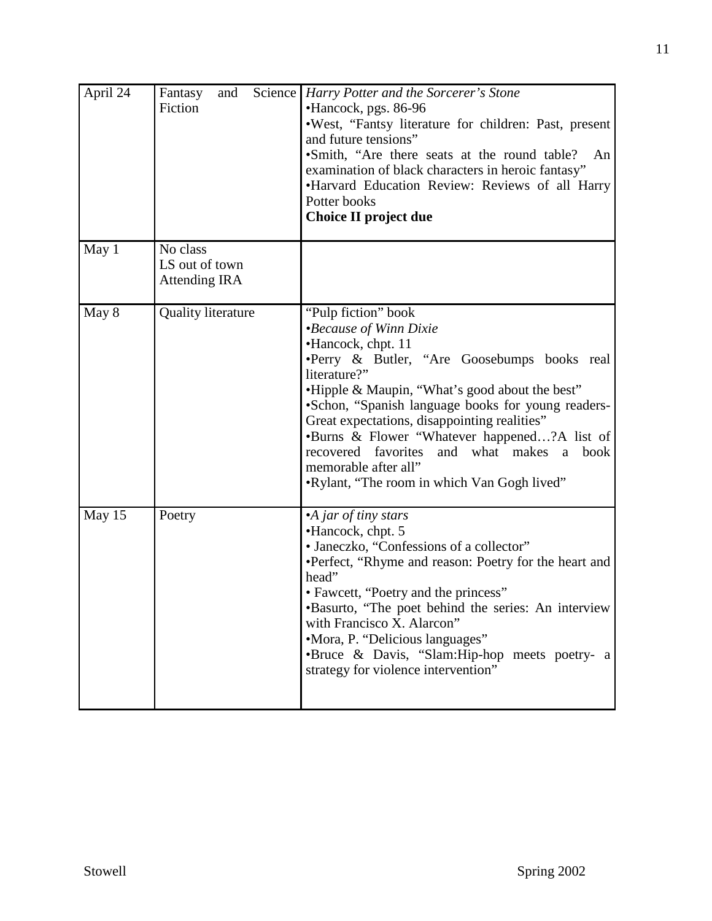| April 24 | Science  <br>Fantasy<br>and<br>Fiction             | Harry Potter and the Sorcerer's Stone<br>•Hancock, pgs. 86-96<br>.West, "Fantsy literature for children: Past, present<br>and future tensions"<br>•Smith, "Are there seats at the round table? An<br>examination of black characters in heroic fantasy"<br>•Harvard Education Review: Reviews of all Harry<br>Potter books<br>Choice II project due                                                                                                                                       |
|----------|----------------------------------------------------|-------------------------------------------------------------------------------------------------------------------------------------------------------------------------------------------------------------------------------------------------------------------------------------------------------------------------------------------------------------------------------------------------------------------------------------------------------------------------------------------|
| May 1    | No class<br>LS out of town<br><b>Attending IRA</b> |                                                                                                                                                                                                                                                                                                                                                                                                                                                                                           |
| May 8    | <b>Quality literature</b>                          | "Pulp fiction" book<br><i>•Because of Winn Dixie</i><br>•Hancock, chpt. 11<br>·Perry & Butler, "Are Goosebumps books real<br>literature?"<br>•Hipple & Maupin, "What's good about the best"<br>•Schon, "Spanish language books for young readers-<br>Great expectations, disappointing realities"<br>•Burns & Flower "Whatever happened?A list of<br>recovered favorites<br>and what makes<br>book<br><sub>a</sub><br>memorable after all"<br>.Rylant, "The room in which Van Gogh lived" |
| May 15   | Poetry                                             | •A jar of tiny stars<br>•Hancock, chpt. 5<br>• Janeczko, "Confessions of a collector"<br>•Perfect, "Rhyme and reason: Poetry for the heart and<br>head"<br>• Fawcett, "Poetry and the princess"<br>•Basurto, "The poet behind the series: An interview<br>with Francisco X. Alarcon"<br>•Mora, P. "Delicious languages"<br>•Bruce & Davis, "Slam:Hip-hop meets poetry- a<br>strategy for violence intervention"                                                                           |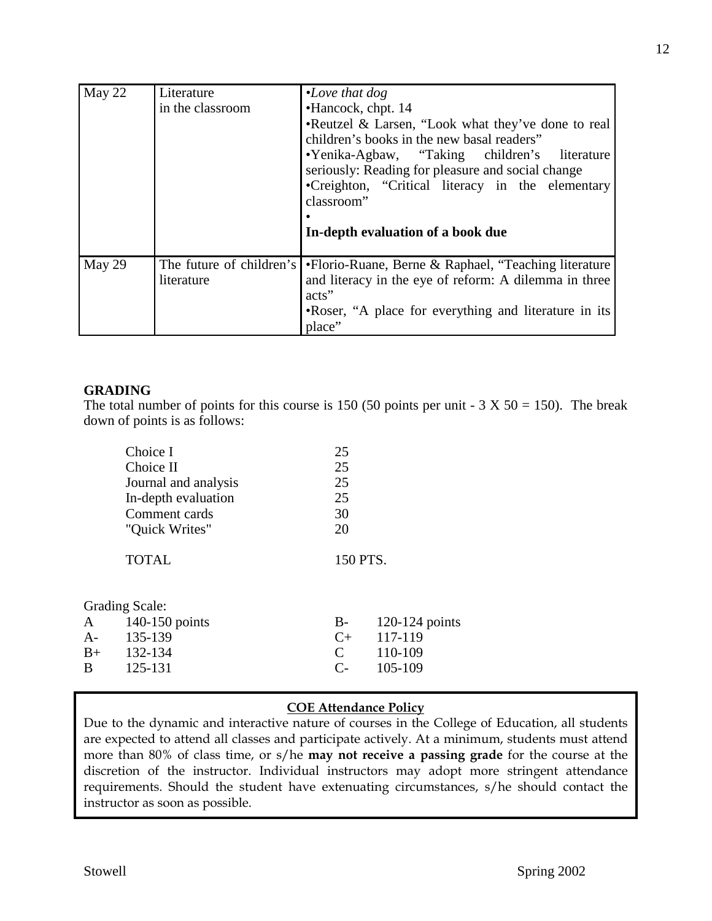| May 22 | Literature<br>in the classroom         | $\cdot$ Love that dog<br>•Hancock, chpt. 14<br>•Reutzel & Larsen, "Look what they've done to real<br>children's books in the new basal readers"<br>•Yenika-Agbaw, "Taking children's literature<br>seriously: Reading for pleasure and social change<br>•Creighton, "Critical literacy in the elementary<br>classroom"<br>In-depth evaluation of a book due |  |
|--------|----------------------------------------|-------------------------------------------------------------------------------------------------------------------------------------------------------------------------------------------------------------------------------------------------------------------------------------------------------------------------------------------------------------|--|
| May 29 | The future of children's<br>literature | •Florio-Ruane, Berne & Raphael, "Teaching literature<br>and literacy in the eye of reform: A dilemma in three<br>acts"<br>•Roser, "A place for everything and literature in its<br>place"                                                                                                                                                                   |  |

# **GRADING**

The total number of points for this course is 150 (50 points per unit -  $3 \times 50 = 150$ ). The break down of points is as follows:

| Choice I             | 25       |
|----------------------|----------|
| Choice II            | 25       |
| Journal and analysis | 25       |
| In-depth evaluation  | 25       |
| Comment cards        | 30       |
| "Quick Writes"       | 20       |
| <b>TOTAL</b>         | 150 PTS. |
| $\sim$ $\sim$ 1      |          |

|      | Grading Scale:   |               |                    |
|------|------------------|---------------|--------------------|
|      | A 140-150 points |               | $B-120-124$ points |
| $A-$ | 135-139          | $\Gamma$ +    | 117-119            |
| $B+$ | 132-134          | $\mathcal{C}$ | 110-109            |
| B.   | 125-131          | $C_{\tau}$    | 105-109            |
|      |                  |               |                    |

# **COE Attendance Policy**

Due to the dynamic and interactive nature of courses in the College of Education, all students are expected to attend all classes and participate actively. At a minimum, students must attend more than 80% of class time, or s/he **may not receive a passing grade** for the course at the discretion of the instructor. Individual instructors may adopt more stringent attendance requirements. Should the student have extenuating circumstances, s/he should contact the instructor as soon as possible.

 $C_{\text{max}}$  3: